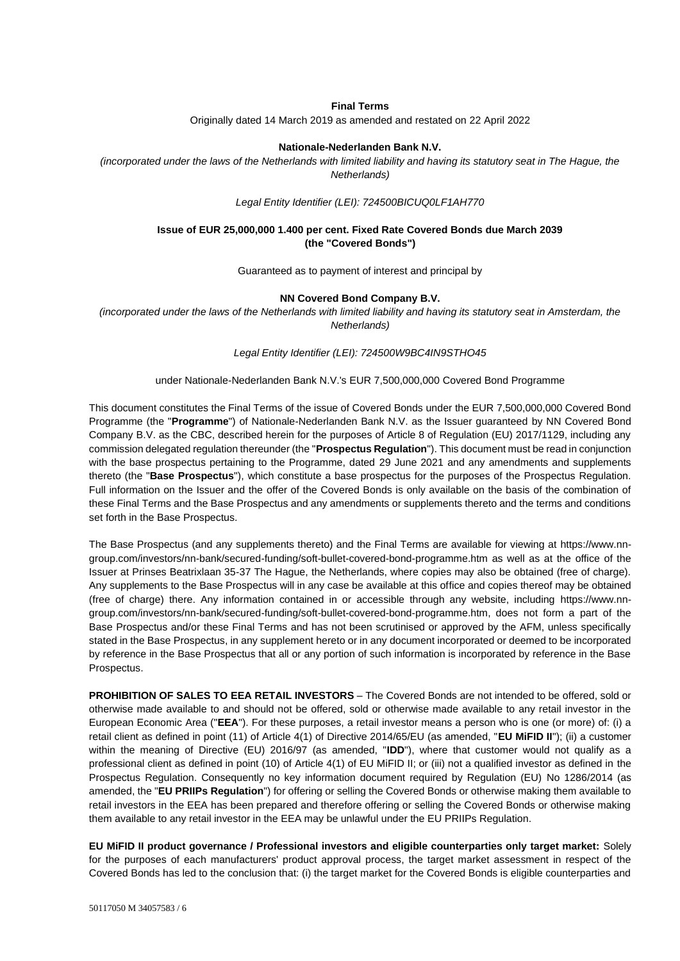#### **Final Terms**

Originally dated 14 March 2019 as amended and restated on 22 April 2022

#### **Nationale-Nederlanden Bank N.V.**

*(incorporated under the laws of the Netherlands with limited liability and having its statutory seat in The Hague, the Netherlands)*

*Legal Entity Identifier (LEI): 724500BICUQ0LF1AH770*

### **Issue of EUR 25,000,000 1.400 per cent. Fixed Rate Covered Bonds due March 2039 (the "Covered Bonds")**

Guaranteed as to payment of interest and principal by

#### **NN Covered Bond Company B.V.**

*(incorporated under the laws of the Netherlands with limited liability and having its statutory seat in Amsterdam, the Netherlands)*

*Legal Entity Identifier (LEI): 724500W9BC4IN9STHO45*

#### under Nationale-Nederlanden Bank N.V.'s EUR 7,500,000,000 Covered Bond Programme

This document constitutes the Final Terms of the issue of Covered Bonds under the EUR 7,500,000,000 Covered Bond Programme (the "**Programme**") of Nationale-Nederlanden Bank N.V. as the Issuer guaranteed by NN Covered Bond Company B.V. as the CBC, described herein for the purposes of Article 8 of Regulation (EU) 2017/1129, including any commission delegated regulation thereunder (the "**Prospectus Regulation**"). This document must be read in conjunction with the base prospectus pertaining to the Programme, dated 29 June 2021 and any amendments and supplements thereto (the "**Base Prospectus**"), which constitute a base prospectus for the purposes of the Prospectus Regulation. Full information on the Issuer and the offer of the Covered Bonds is only available on the basis of the combination of these Final Terms and the Base Prospectus and any amendments or supplements thereto and the terms and conditions set forth in the Base Prospectus.

The Base Prospectus (and any supplements thereto) and the Final Terms are available for viewing at [https://www.nn](https://www.nn-group.com/investors/nn-bank/secured-funding/soft-bullet-covered-bond-programme.htm)[group.com/investors/nn-bank/secured-funding/soft-bullet-covered-bond-programme.htm](https://www.nn-group.com/investors/nn-bank/secured-funding/soft-bullet-covered-bond-programme.htm) as well as at the office of the Issuer at Prinses Beatrixlaan 35-37 The Hague, the Netherlands, where copies may also be obtained (free of charge). Any supplements to the Base Prospectus will in any case be available at this office and copies thereof may be obtained (free of charge) there. Any information contained in or accessible through any website, including [https://www.nn](https://www.nn-group.com/investors/nn-bank/secured-funding/soft-bullet-covered-bond-programme.htm)[group.com/investors/nn-bank/secured-funding/soft-bullet-covered-bond-programme.htm,](https://www.nn-group.com/investors/nn-bank/secured-funding/soft-bullet-covered-bond-programme.htm) does not form a part of the Base Prospectus and/or these Final Terms and has not been scrutinised or approved by the AFM, unless specifically stated in the Base Prospectus, in any supplement hereto or in any document incorporated or deemed to be incorporated by reference in the Base Prospectus that all or any portion of such information is incorporated by reference in the Base Prospectus.

**PROHIBITION OF SALES TO EEA RETAIL INVESTORS** – The Covered Bonds are not intended to be offered, sold or otherwise made available to and should not be offered, sold or otherwise made available to any retail investor in the European Economic Area ("**EEA**"). For these purposes, a retail investor means a person who is one (or more) of: (i) a retail client as defined in point (11) of Article 4(1) of Directive 2014/65/EU (as amended, "**EU MiFID II**"); (ii) a customer within the meaning of Directive (EU) 2016/97 (as amended, "**IDD**"), where that customer would not qualify as a professional client as defined in point (10) of Article 4(1) of EU MiFID II; or (iii) not a qualified investor as defined in the Prospectus Regulation. Consequently no key information document required by Regulation (EU) No 1286/2014 (as amended, the "**EU PRIIPs Regulation**") for offering or selling the Covered Bonds or otherwise making them available to retail investors in the EEA has been prepared and therefore offering or selling the Covered Bonds or otherwise making them available to any retail investor in the EEA may be unlawful under the EU PRIIPs Regulation.

**EU MiFID II product governance / Professional investors and eligible counterparties only target market:** Solely for the purposes of each manufacturers' product approval process, the target market assessment in respect of the Covered Bonds has led to the conclusion that: (i) the target market for the Covered Bonds is eligible counterparties and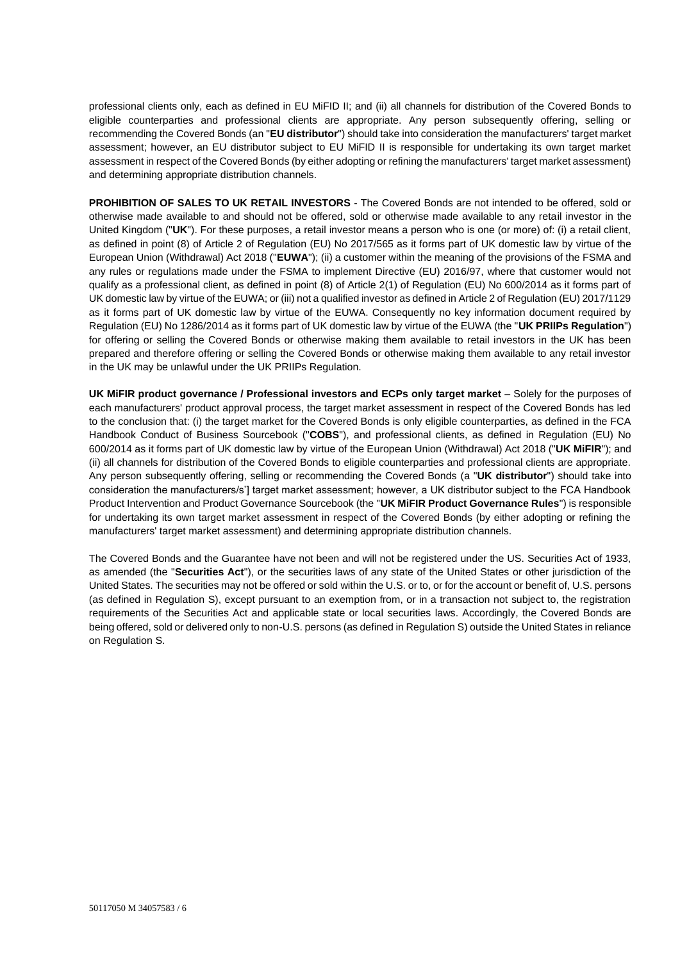professional clients only, each as defined in EU MiFID II; and (ii) all channels for distribution of the Covered Bonds to eligible counterparties and professional clients are appropriate. Any person subsequently offering, selling or recommending the Covered Bonds (an "**EU distributor**") should take into consideration the manufacturers' target market assessment; however, an EU distributor subject to EU MiFID II is responsible for undertaking its own target market assessment in respect of the Covered Bonds (by either adopting or refining the manufacturers' target market assessment) and determining appropriate distribution channels.

**PROHIBITION OF SALES TO UK RETAIL INVESTORS** - The Covered Bonds are not intended to be offered, sold or otherwise made available to and should not be offered, sold or otherwise made available to any retail investor in the United Kingdom ("**UK**"). For these purposes, a retail investor means a person who is one (or more) of: (i) a retail client, as defined in point (8) of Article 2 of Regulation (EU) No 2017/565 as it forms part of UK domestic law by virtue of the European Union (Withdrawal) Act 2018 ("**EUWA**"); (ii) a customer within the meaning of the provisions of the FSMA and any rules or regulations made under the FSMA to implement Directive (EU) 2016/97, where that customer would not qualify as a professional client, as defined in point (8) of Article 2(1) of Regulation (EU) No 600/2014 as it forms part of UK domestic law by virtue of the EUWA; or (iii) not a qualified investor as defined in Article 2 of Regulation (EU) 2017/1129 as it forms part of UK domestic law by virtue of the EUWA. Consequently no key information document required by Regulation (EU) No 1286/2014 as it forms part of UK domestic law by virtue of the EUWA (the "**UK PRIIPs Regulation**") for offering or selling the Covered Bonds or otherwise making them available to retail investors in the UK has been prepared and therefore offering or selling the Covered Bonds or otherwise making them available to any retail investor in the UK may be unlawful under the UK PRIIPs Regulation.

**UK MiFIR product governance / Professional investors and ECPs only target market** – Solely for the purposes of each manufacturers' product approval process, the target market assessment in respect of the Covered Bonds has led to the conclusion that: (i) the target market for the Covered Bonds is only eligible counterparties, as defined in the FCA Handbook Conduct of Business Sourcebook ("**COBS**"), and professional clients, as defined in Regulation (EU) No 600/2014 as it forms part of UK domestic law by virtue of the European Union (Withdrawal) Act 2018 ("**UK MiFIR**"); and (ii) all channels for distribution of the Covered Bonds to eligible counterparties and professional clients are appropriate. Any person subsequently offering, selling or recommending the Covered Bonds (a "**UK distributor**") should take into consideration the manufacturers/s'] target market assessment; however, a UK distributor subject to the FCA Handbook Product Intervention and Product Governance Sourcebook (the "**UK MiFIR Product Governance Rules**") is responsible for undertaking its own target market assessment in respect of the Covered Bonds (by either adopting or refining the manufacturers' target market assessment) and determining appropriate distribution channels.

The Covered Bonds and the Guarantee have not been and will not be registered under the US. Securities Act of 1933, as amended (the "**Securities Act**"), or the securities laws of any state of the United States or other jurisdiction of the United States. The securities may not be offered or sold within the U.S. or to, or for the account or benefit of, U.S. persons (as defined in Regulation S), except pursuant to an exemption from, or in a transaction not subject to, the registration requirements of the Securities Act and applicable state or local securities laws. Accordingly, the Covered Bonds are being offered, sold or delivered only to non-U.S. persons (as defined in Regulation S) outside the United States in reliance on Regulation S.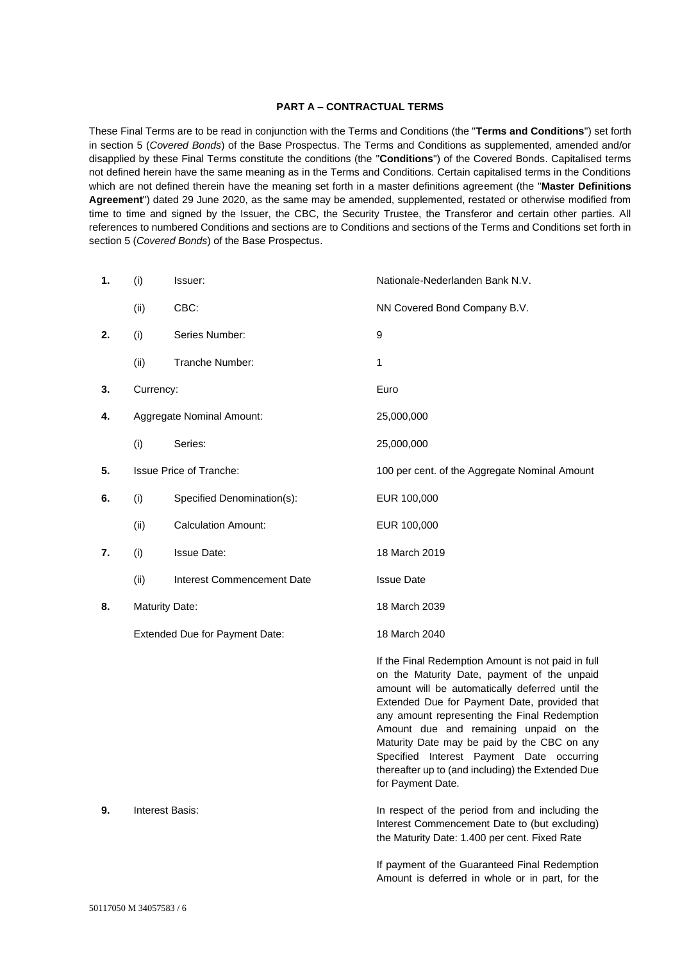### **PART A – CONTRACTUAL TERMS**

These Final Terms are to be read in conjunction with the Terms and Conditions (the "**Terms and Conditions**") set forth in section 5 (*Covered Bonds*) of the Base Prospectus. The Terms and Conditions as supplemented, amended and/or disapplied by these Final Terms constitute the conditions (the "**Conditions**") of the Covered Bonds. Capitalised terms not defined herein have the same meaning as in the Terms and Conditions. Certain capitalised terms in the Conditions which are not defined therein have the meaning set forth in a master definitions agreement (the "**Master Definitions Agreement**") dated 29 June 2020, as the same may be amended, supplemented, restated or otherwise modified from time to time and signed by the Issuer, the CBC, the Security Trustee, the Transferor and certain other parties. All references to numbered Conditions and sections are to Conditions and sections of the Terms and Conditions set forth in section 5 (*Covered Bonds*) of the Base Prospectus.

| 1. | (i)                            | Issuer:                        | Nationale-Nederlanden Bank N.V.                                                                                                                                                                                                                                                                                                                                                                                                                                      |
|----|--------------------------------|--------------------------------|----------------------------------------------------------------------------------------------------------------------------------------------------------------------------------------------------------------------------------------------------------------------------------------------------------------------------------------------------------------------------------------------------------------------------------------------------------------------|
|    | (ii)                           | CBC:                           | NN Covered Bond Company B.V.                                                                                                                                                                                                                                                                                                                                                                                                                                         |
| 2. | (i)                            | Series Number:                 | 9                                                                                                                                                                                                                                                                                                                                                                                                                                                                    |
|    | (ii)                           | Tranche Number:                | 1                                                                                                                                                                                                                                                                                                                                                                                                                                                                    |
| 3. | Currency:                      |                                | Euro                                                                                                                                                                                                                                                                                                                                                                                                                                                                 |
| 4. | Aggregate Nominal Amount:      |                                | 25,000,000                                                                                                                                                                                                                                                                                                                                                                                                                                                           |
|    | (i)                            | Series:                        | 25,000,000                                                                                                                                                                                                                                                                                                                                                                                                                                                           |
| 5. |                                | <b>Issue Price of Tranche:</b> | 100 per cent. of the Aggregate Nominal Amount                                                                                                                                                                                                                                                                                                                                                                                                                        |
| 6. | (i)                            | Specified Denomination(s):     | EUR 100,000                                                                                                                                                                                                                                                                                                                                                                                                                                                          |
|    | (ii)                           | <b>Calculation Amount:</b>     | EUR 100,000                                                                                                                                                                                                                                                                                                                                                                                                                                                          |
| 7. | (i)                            | <b>Issue Date:</b>             | 18 March 2019                                                                                                                                                                                                                                                                                                                                                                                                                                                        |
|    | (ii)                           | Interest Commencement Date     | <b>Issue Date</b>                                                                                                                                                                                                                                                                                                                                                                                                                                                    |
| 8. | <b>Maturity Date:</b>          |                                | 18 March 2039                                                                                                                                                                                                                                                                                                                                                                                                                                                        |
|    | Extended Due for Payment Date: |                                | 18 March 2040                                                                                                                                                                                                                                                                                                                                                                                                                                                        |
|    |                                |                                | If the Final Redemption Amount is not paid in full<br>on the Maturity Date, payment of the unpaid<br>amount will be automatically deferred until the<br>Extended Due for Payment Date, provided that<br>any amount representing the Final Redemption<br>Amount due and remaining unpaid on the<br>Maturity Date may be paid by the CBC on any<br>Specified Interest Payment Date occurring<br>thereafter up to (and including) the Extended Due<br>for Payment Date. |
| 9. | Interest Basis:                |                                | In respect of the period from and including the<br>Interest Commencement Date to (but excluding)<br>the Maturity Date: 1.400 per cent. Fixed Rate                                                                                                                                                                                                                                                                                                                    |
|    |                                |                                |                                                                                                                                                                                                                                                                                                                                                                                                                                                                      |

If payment of the Guaranteed Final Redemption Amount is deferred in whole or in part, for the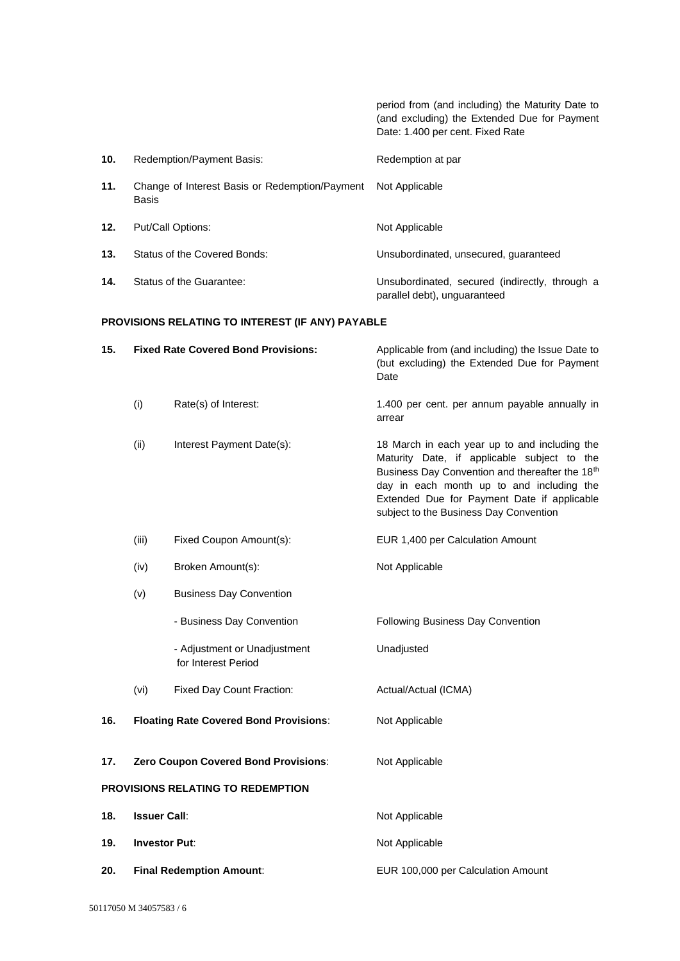period from (and including) the Maturity Date to (and excluding) the Extended Due for Payment Date: 1.400 per cent. Fixed Rate

| 10. | Redemption/Payment Basis:                               | Redemption at par                                                              |
|-----|---------------------------------------------------------|--------------------------------------------------------------------------------|
| 11. | Change of Interest Basis or Redemption/Payment<br>Basis | Not Applicable                                                                 |
| 12. | Put/Call Options:                                       | Not Applicable                                                                 |
| 13. | Status of the Covered Bonds:                            | Unsubordinated, unsecured, quaranteed                                          |
| 14. | Status of the Guarantee:                                | Unsubordinated, secured (indirectly, through a<br>parallel debt), unguaranteed |

# **PROVISIONS RELATING TO INTEREST (IF ANY) PAYABLE**

| 15.                               | <b>Fixed Rate Covered Bond Provisions:</b> |                                                     | Applicable from (and including) the Issue Date to<br>(but excluding) the Extended Due for Payment<br>Date                                                                                                                                                                             |
|-----------------------------------|--------------------------------------------|-----------------------------------------------------|---------------------------------------------------------------------------------------------------------------------------------------------------------------------------------------------------------------------------------------------------------------------------------------|
|                                   | (i)                                        | Rate(s) of Interest:                                | 1.400 per cent. per annum payable annually in<br>arrear                                                                                                                                                                                                                               |
|                                   | (ii)                                       | Interest Payment Date(s):                           | 18 March in each year up to and including the<br>Maturity Date, if applicable subject to the<br>Business Day Convention and thereafter the 18th<br>day in each month up to and including the<br>Extended Due for Payment Date if applicable<br>subject to the Business Day Convention |
|                                   | (iii)                                      | Fixed Coupon Amount(s):                             | EUR 1,400 per Calculation Amount                                                                                                                                                                                                                                                      |
|                                   | (iv)                                       | Broken Amount(s):                                   | Not Applicable                                                                                                                                                                                                                                                                        |
|                                   | (v)                                        | <b>Business Day Convention</b>                      |                                                                                                                                                                                                                                                                                       |
|                                   |                                            | - Business Day Convention                           | Following Business Day Convention                                                                                                                                                                                                                                                     |
|                                   |                                            | - Adjustment or Unadjustment<br>for Interest Period | Unadjusted                                                                                                                                                                                                                                                                            |
|                                   | (vi)                                       | Fixed Day Count Fraction:                           | Actual/Actual (ICMA)                                                                                                                                                                                                                                                                  |
| 16.                               |                                            | <b>Floating Rate Covered Bond Provisions:</b>       | Not Applicable                                                                                                                                                                                                                                                                        |
| 17.                               | Zero Coupon Covered Bond Provisions:       |                                                     | Not Applicable                                                                                                                                                                                                                                                                        |
| PROVISIONS RELATING TO REDEMPTION |                                            |                                                     |                                                                                                                                                                                                                                                                                       |
| 18.                               | <b>Issuer Call:</b>                        |                                                     | Not Applicable                                                                                                                                                                                                                                                                        |
| 19.                               | <b>Investor Put:</b>                       |                                                     | Not Applicable                                                                                                                                                                                                                                                                        |
| 20.                               | <b>Final Redemption Amount:</b>            |                                                     | EUR 100,000 per Calculation Amount                                                                                                                                                                                                                                                    |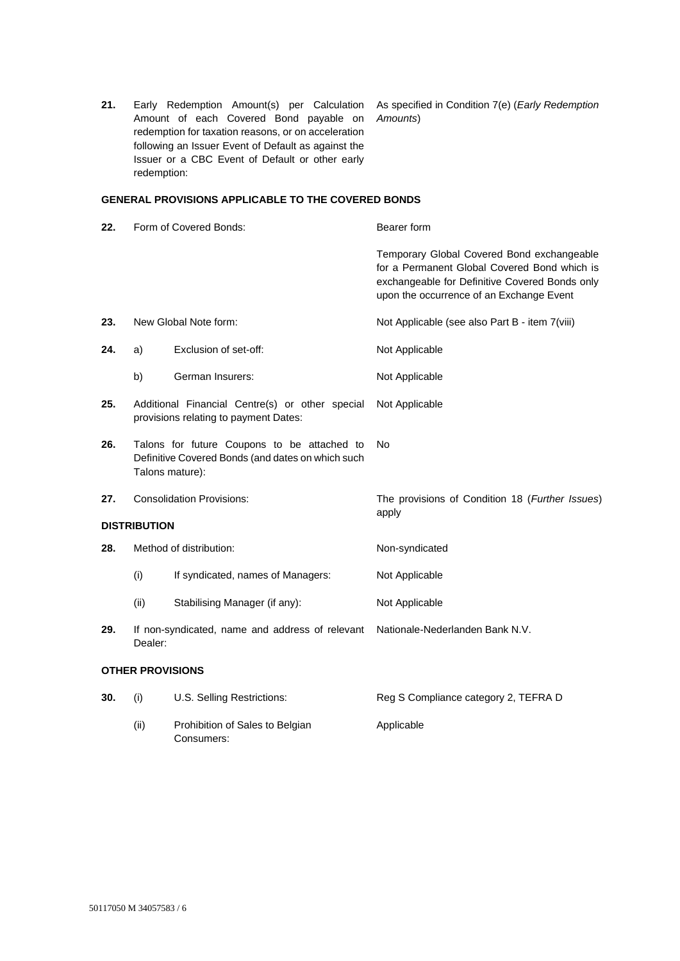**21.** Early Redemption Amount(s) per Calculation Amount of each Covered Bond payable on redemption for taxation reasons, or on acceleration following an Issuer Event of Default as against the Issuer or a CBC Event of Default or other early redemption:

As specified in Condition 7(e) (*Early Redemption Amounts*)

### **GENERAL PROVISIONS APPLICABLE TO THE COVERED BONDS**

- **22.** Form of Covered Bonds: Bearer form Temporary Global Covered Bond exchangeable for a Permanent Global Covered Bond which is exchangeable for Definitive Covered Bonds only upon the occurrence of an Exchange Event **23.** New Global Note form: Not Applicable (see also Part B - item 7(viii) **24.** a) Exclusion of set-off: Not Applicable b) German Insurers: Not Applicable **25.** Additional Financial Centre(s) or other special provisions relating to payment Dates: Not Applicable **26.** Talons for future Coupons to be attached to Definitive Covered Bonds (and dates on which such Talons mature): No **27.** Consolidation Provisions: The provisions of Condition 18 (*Further Issues*) apply **DISTRIBUTION 28.** Method of distribution: Non-syndicated (i) If syndicated, names of Managers: Not Applicable (ii) Stabilising Manager (if any): Not Applicable **29.** If non-syndicated, name and address of relevant Nationale-Nederlanden Bank N.V. Dealer: **OTHER PROVISIONS 30.** (i) U.S. Selling Restrictions: Reg S Compliance category 2, TEFRA D
	- (ii) Prohibition of Sales to Belgian Consumers: Applicable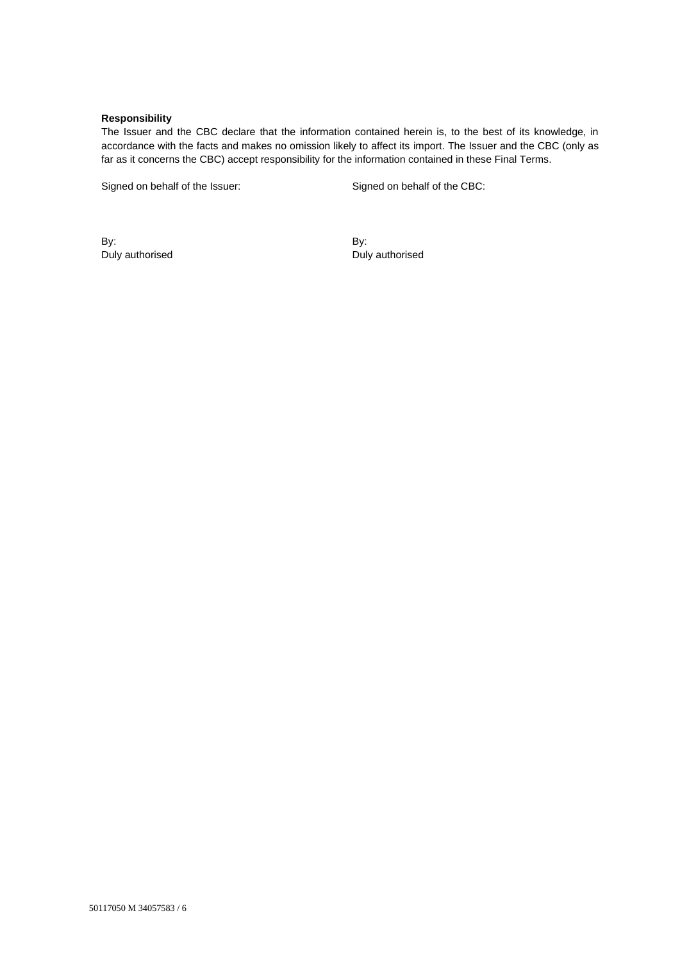## **Responsibility**

The Issuer and the CBC declare that the information contained herein is, to the best of its knowledge, in accordance with the facts and makes no omission likely to affect its import. The Issuer and the CBC (only as far as it concerns the CBC) accept responsibility for the information contained in these Final Terms.

Signed on behalf of the Issuer: Signed on behalf of the CBC:

By: Duly authorised By: Duly authorised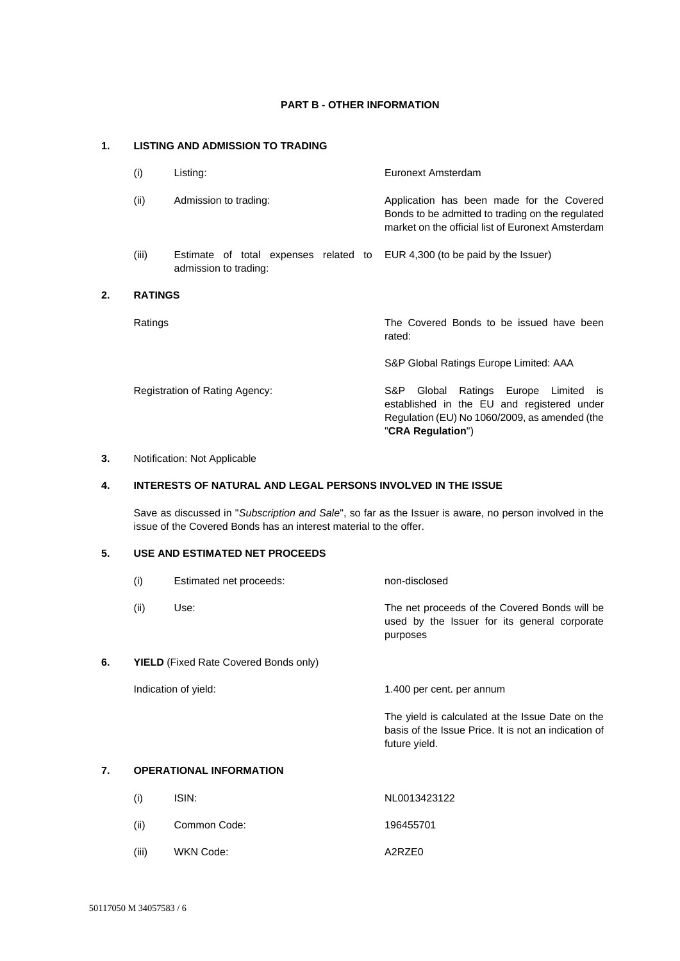## **PART B - OTHER INFORMATION**

# **1. LISTING AND ADMISSION TO TRADING**

| (i)            | Listing:                                                       | Euronext Amsterdam                                                                                                                                                        |
|----------------|----------------------------------------------------------------|---------------------------------------------------------------------------------------------------------------------------------------------------------------------------|
| (ii)           | Admission to trading:                                          | Application has been made for the Covered<br>Bonds to be admitted to trading on the regulated<br>market on the official list of Euronext Amsterdam                        |
| (iii)          | Estimate of total expenses related to<br>admission to trading: | EUR 4,300 (to be paid by the Issuer)                                                                                                                                      |
| <b>RATINGS</b> |                                                                |                                                                                                                                                                           |
| Ratings        |                                                                | The Covered Bonds to be issued have been<br>rated:                                                                                                                        |
|                |                                                                | S&P Global Ratings Europe Limited: AAA                                                                                                                                    |
|                | Registration of Rating Agency:                                 | S&P.<br>Ratings Europe Limited<br>Global<br><b>IS</b><br>established in the EU and registered under<br>Regulation (EU) No 1060/2009, as amended (the<br>"CRA Regulation") |

## **3.** Notification: Not Applicable

**2. RATINGS**

# **4. INTERESTS OF NATURAL AND LEGAL PERSONS INVOLVED IN THE ISSUE**

Save as discussed in "*Subscription and Sale*", so far as the Issuer is aware, no person involved in the issue of the Covered Bonds has an interest material to the offer.

# **5. USE AND ESTIMATED NET PROCEEDS**

|    | (i)                                          | Estimated net proceeds: | non-disclosed                                                                                                             |
|----|----------------------------------------------|-------------------------|---------------------------------------------------------------------------------------------------------------------------|
|    | (ii)                                         | Use:                    | The net proceeds of the Covered Bonds will be<br>used by the Issuer for its general corporate<br>purposes                 |
| 6. | <b>YIELD</b> (Fixed Rate Covered Bonds only) |                         |                                                                                                                           |
|    | Indication of yield:                         |                         | 1.400 per cent. per annum                                                                                                 |
|    |                                              |                         | The yield is calculated at the Issue Date on the<br>basis of the Issue Price. It is not an indication of<br>future yield. |
| 7. | <b>OPERATIONAL INFORMATION</b>               |                         |                                                                                                                           |
|    | (i)                                          | ISIN:                   | NL0013423122                                                                                                              |
|    | (ii)                                         | Common Code:            | 196455701                                                                                                                 |

- 
- (iii) WKN Code: A2RZE0